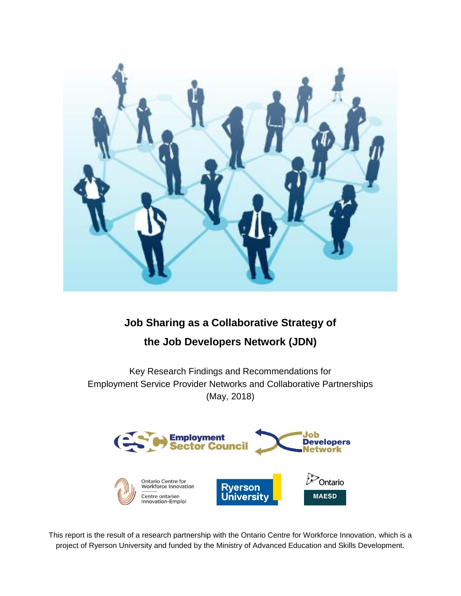

# **Job Sharing as a Collaborative Strategy of**

# **the Job Developers Network (JDN)**

Key Research Findings and Recommendations for Employment Service Provider Networks and Collaborative Partnerships (May, 2018)



This report is the result of a research partnership with the Ontario Centre for Workforce Innovation, which is a project of Ryerson University and funded by the Ministry of Advanced Education and Skills Development.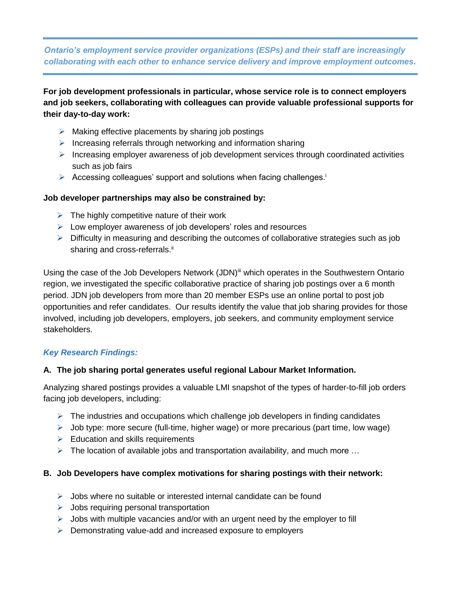## *Ontario's employment service provider organizations (ESPs) and their staff are increasingly collaborating with each other to enhance service delivery and improve employment outcomes.*

**For job development professionals in particular, whose service role is to connect employers and job seekers, collaborating with colleagues can provide valuable professional supports for their day-to-day work:**

- $\triangleright$  Making effective placements by sharing job postings
- $\triangleright$  Increasing referrals through networking and information sharing
- Increasing employer awareness of job development services through coordinated activities such as job fairs
- > Accessing colleagues' support and solutions when facing challenges.<sup>1</sup>

### **Job developer partnerships may also be constrained by:**

- $\triangleright$  The highly competitive nature of their work
- $\triangleright$  Low employer awareness of job developers' roles and resources
- $\triangleright$  Difficulty in measuring and describing the outcomes of collaborative strategies such as job sharing and cross-referrals.<sup>ii</sup>

Using the case of the Job Developers Network (JDN)<sup>iii</sup> which operates in the Southwestern Ontario region, we investigated the specific collaborative practice of sharing job postings over a 6 month period. JDN job developers from more than 20 member ESPs use an online portal to post job opportunities and refer candidates. Our results identify the value that job sharing provides for those involved, including job developers, employers, job seekers, and community employment service stakeholders.

## *Key Research Findings:*

#### **A. The job sharing portal generates useful regional Labour Market Information.**

Analyzing shared postings provides a valuable LMI snapshot of the types of harder-to-fill job orders facing job developers, including:

- $\triangleright$  The industries and occupations which challenge job developers in finding candidates
- $\triangleright$  Job type: more secure (full-time, higher wage) or more precarious (part time, low wage)
- $\triangleright$  Education and skills requirements
- $\triangleright$  The location of available jobs and transportation availability, and much more ...

#### **B. Job Developers have complex motivations for sharing postings with their network:**

- $\triangleright$  Jobs where no suitable or interested internal candidate can be found
- $\triangleright$  Jobs requiring personal transportation
- $\triangleright$  Jobs with multiple vacancies and/or with an urgent need by the employer to fill
- $\triangleright$  Demonstrating value-add and increased exposure to employers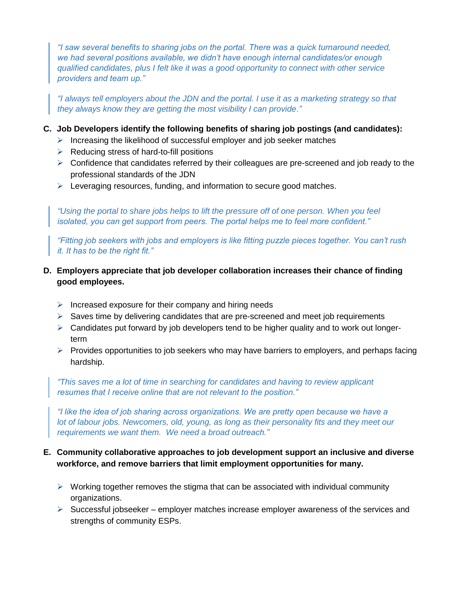*"I saw several benefits to sharing jobs on the portal. There was a quick turnaround needed, we had several positions available, we didn't have enough internal candidates/or enough qualified candidates, plus I felt like it was a good opportunity to connect with other service providers and team up."*

*"I always tell employers about the JDN and the portal. I use it as a marketing strategy so that they always know they are getting the most visibility I can provide."* 

### **C. Job Developers identify the following benefits of sharing job postings (and candidates):**

- $\triangleright$  Increasing the likelihood of successful employer and job seeker matches
- $\triangleright$  Reducing stress of hard-to-fill positions
- $\triangleright$  Confidence that candidates referred by their colleagues are pre-screened and job ready to the professional standards of the JDN
- $\triangleright$  Leveraging resources, funding, and information to secure good matches.

*"Using the portal to share jobs helps to lift the pressure off of one person. When you feel isolated, you can get support from peers. The portal helps me to feel more confident."* 

*"Fitting job seekers with jobs and employers is like fitting puzzle pieces together. You can't rush it. It has to be the right fit."* 

## **D. Employers appreciate that job developer collaboration increases their chance of finding good employees.**

- $\triangleright$  Increased exposure for their company and hiring needs
- $\triangleright$  Saves time by delivering candidates that are pre-screened and meet job requirements
- $\triangleright$  Candidates put forward by job developers tend to be higher quality and to work out longerterm
- $\triangleright$  Provides opportunities to job seekers who may have barriers to employers, and perhaps facing hardship.

*"This saves me a lot of time in searching for candidates and having to review applicant resumes that I receive online that are not relevant to the position."* 

*"I like the idea of job sharing across organizations. We are pretty open because we have a lot of labour jobs. Newcomers, old, young, as long as their personality fits and they meet our requirements we want them. We need a broad outreach."*

## **E. Community collaborative approaches to job development support an inclusive and diverse workforce, and remove barriers that limit employment opportunities for many.**

- $\triangleright$  Working together removes the stigma that can be associated with individual community organizations.
- $\triangleright$  Successful jobseeker employer matches increase employer awareness of the services and strengths of community ESPs.